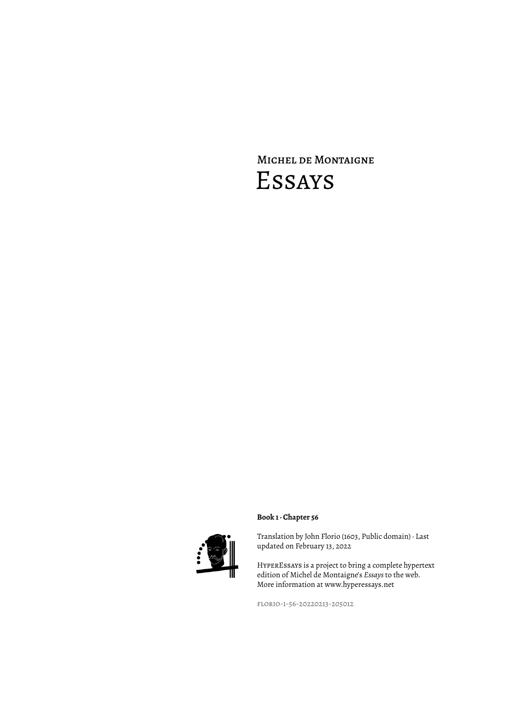# Michel de Montaigne Essays



### **Book 1 · Chapter 56**

Translation by John Florio (1603, Public domain) · Last updated on February 13, 2022

HyperEssays is a project to bring a complete hypertext edition of Michel de Montaigne's *Essays* to the web. More information at www.hyperessays.net

florio-1-56-20220213-205012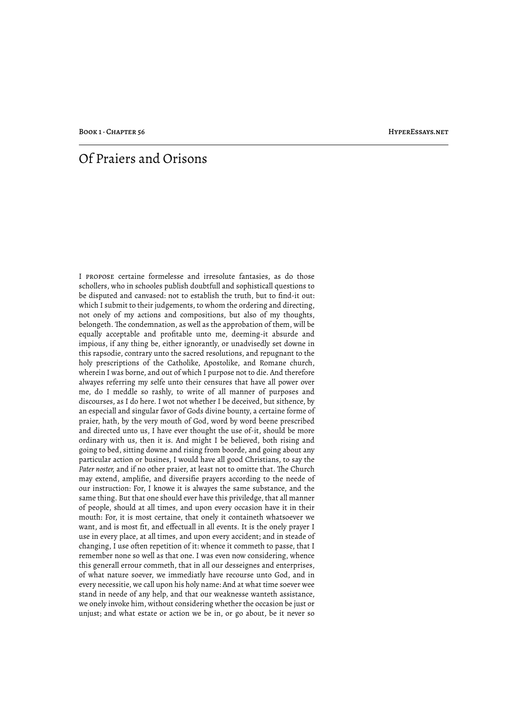## Of Praiers and Orisons

I propose certaine formelesse and irresolute fantasies, as do those schollers, who in schooles publish doubtfull and sophisticall questions to be disputed and canvased: not to establish the truth, but to find-it out: which I submit to their judgements, to whom the ordering and directing, not onely of my actions and compositions, but also of my thoughts, belongeth. The condemnation, as well as the approbation of them, will be equally acceptable and profitable unto me, deeming-it absurde and impious, if any thing be, either ignorantly, or unadvisedly set downe in this rapsodie, contrary unto the sacred resolutions, and repugnant to the holy prescriptions of the Catholike, Apostolike, and Romane church, wherein I was borne, and out of which I purpose not to die. And therefore alwayes referring my selfe unto their censures that have all power over me, do I meddle so rashly, to write of all manner of purposes and discourses, as I do here. I wot not whether I be deceived, but sithence, by an especiall and singular favor of Gods divine bounty, a certaine forme of praier, hath, by the very mouth of God, word by word beene prescribed and directed unto us, I have ever thought the use of-it, should be more ordinary with us, then it is. And might I be believed, both rising and going to bed, sitting downe and rising from boorde, and going about any particular action or busines, I would have all good Christians, to say the Pater noster, and if no other praier, at least not to omitte that. The Church may extend, amplifie, and diversifie prayers according to the neede of our instruction: For, I knowe it is alwayes the same substance, and the same thing. But that one should ever have this priviledge, that all manner of people, should at all times, and upon every occasion have it in their mouth: For, it is most certaine, that onely it containeth whatsoever we want, and is most fit, and effectuall in all events. It is the onely prayer I use in every place, at all times, and upon every accident; and in steade of changing, I use often repetition of it: whence it commeth to passe, that I remember none so well as that one. I was even now considering, whence this generall errour commeth, that in all our desseignes and enterprises, of what nature soever, we immediatly have recourse unto God, and in every necessitie, we call upon his holy name: And at what time soever wee stand in neede of any help, and that our weaknesse wanteth assistance, we onely invoke him, without considering whether the occasion be just or unjust; and what estate or action we be in, or go about, be it never so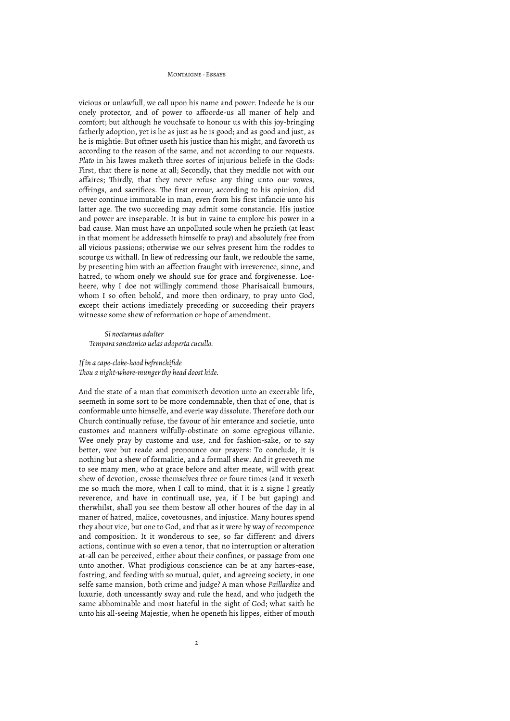vicious or unlawfull, we call upon his name and power. Indeede he is our onely protector, and of power to affoorde-us all maner of help and comfort; but although he vouchsafe to honour us with this joy-bringing fatherly adoption, yet is he as just as he is good; and as good and just, as he is mightie: But oftner useth his justice than his might, and favoreth us according to the reason of the same, and not according to our requests. *Plato* in his lawes maketh three sortes of injurious beliefe in the Gods: First, that there is none at all; Secondly, that they meddle not with our affaires; Thirdly, that they never refuse any thing unto our vowes, offrings, and sacrifices. The first errour, according to his opinion, did never continue immutable in man, even from his first infancie unto his latter age. The two succeeding may admit some constancie. His justice and power are inseparable. It is but in vaine to emplore his power in a bad cause. Man must have an unpolluted soule when he praieth (at least in that moment he addresseth himselfe to pray) and absolutely free from all vicious passions; otherwise we our selves present him the roddes to scourge us withall. In liew of redressing our fault, we redouble the same, by presenting him with an affection fraught with irreverence, sinne, and hatred, to whom onely we should sue for grace and forgivenesse. Loeheere, why I doe not willingly commend those Pharisaicall humours, whom I so often behold, and more then ordinary, to pray unto God, except their actions imediately preceding or succeeding their prayers witnesse some shew of reformation or hope of amendment.

*Si nocturnus adulter Tempora sanctonico uelas adoperta cucullo.*

#### *If in a cape-cloke-hood befrenchifide !ou a night-whore-munger thy head doost hide.*

And the state of a man that commixeth devotion unto an execrable life, seemeth in some sort to be more condemnable, then that of one, that is conformable unto himselfe, and everie way dissolute. Therefore doth our Church continually refuse, the favour of hir enterance and societie, unto customes and manners wilfully-obstinate on some egregious villanie. Wee onely pray by custome and use, and for fashion-sake, or to say better, wee but reade and pronounce our prayers: To conclude, it is nothing but a shew of formalitie, and a formall shew. And it greeveth me to see many men, who at grace before and after meate, will with great shew of devotion, crosse themselves three or foure times (and it vexeth me so much the more, when I call to mind, that it is a signe I greatly reverence, and have in continuall use, yea, if I be but gaping) and therwhilst, shall you see them bestow all other houres of the day in al maner of hatred, malice, covetousnes, and injustice. Many houres spend they about vice, but one to God, and that as it were by way of recompence and composition. It it wonderous to see, so far different and divers actions, continue with so even a tenor, that no interruption or alteration at-all can be perceived, either about their confines, or passage from one unto another. What prodigious conscience can be at any hartes-ease, fostring, and feeding with so mutual, quiet, and agreeing society, in one selfe same mansion, both crime and judge? A man whose *Paillardize* and luxurie, doth uncessantly sway and rule the head, and who judgeth the same abhominable and most hateful in the sight of God; what saith he unto his all-seeing Majestie, when he openeth his lippes, either of mouth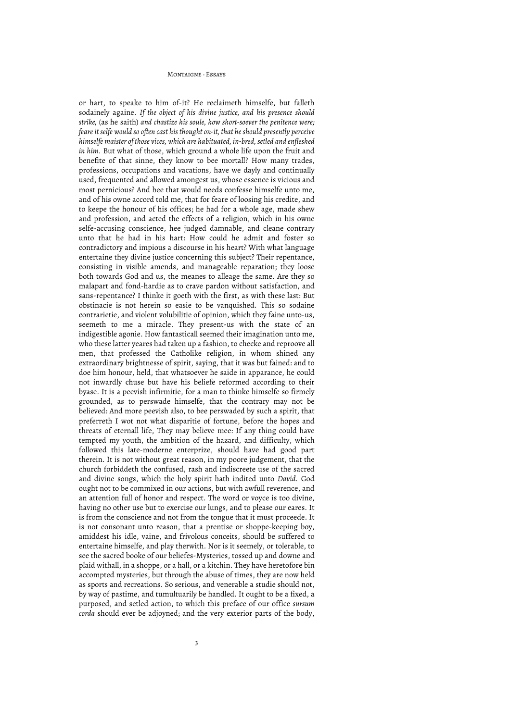or hart, to speake to him of-it? He reclaimeth himselfe, but falleth sodainely againe. *If the object of his divine justice, and his presence should strike,* (as he saith) *and chastize his soule, how short-soever the penitence were; feare it selfe would so often cast his thought on-it, that he should presently perceive himselfe maister of those vices, which are habituated, in-bred, setled and enfleshed in him.* But what of those, which ground a whole life upon the fruit and benefite of that sinne, they know to bee mortall? How many trades, professions, occupations and vacations, have we dayly and continually used, frequented and allowed amongest us, whose essence is vicious and most pernicious? And hee that would needs confesse himselfe unto me, and of his owne accord told me, that for feare of loosing his credite, and to keepe the honour of his offices; he had for a whole age, made shew and profession, and acted the effects of a religion, which in his owne selfe-accusing conscience, hee judged damnable, and cleane contrary unto that he had in his hart: How could he admit and foster so contradictory and impious a discourse in his heart? With what language entertaine they divine justice concerning this subject? Their repentance, consisting in visible amends, and manageable reparation; they loose both towards God and us, the meanes to alleage the same. Are they so malapart and fond-hardie as to crave pardon without satisfaction, and sans-repentance? I thinke it goeth with the first, as with these last: But obstinacie is not herein so easie to be vanquished. This so sodaine contrarietie, and violent volubilitie of opinion, which they faine unto-us, seemeth to me a miracle. They present-us with the state of an indigestible agonie. How fantasticall seemed their imagination unto me, who these latter yeares had taken up a fashion, to checke and reproove all men, that professed the Catholike religion, in whom shined any extraordinary brightnesse of spirit, saying, that it was but fained: and to doe him honour, held, that whatsoever he saide in apparance, he could not inwardly chuse but have his beliefe reformed according to their byase. It is a peevish infirmitie, for a man to thinke himselfe so firmely grounded, as to perswade himselfe, that the contrary may not be believed: And more peevish also, to bee perswaded by such a spirit, that preferreth I wot not what disparitie of fortune, before the hopes and threats of eternall life, They may believe mee: If any thing could have tempted my youth, the ambition of the hazard, and difficulty, which followed this late-moderne enterprize, should have had good part therein. It is not without great reason, in my poore judgement, that the church forbiddeth the confused, rash and indiscreete use of the sacred and divine songs, which the holy spirit hath indited unto *David.* God ought not to be commixed in our actions, but with awfull reverence, and an attention full of honor and respect. The word or voyce is too divine, having no other use but to exercise our lungs, and to please our eares. It is from the conscience and not from the tongue that it must proceede. It is not consonant unto reason, that a prentise or shoppe-keeping boy, amiddest his idle, vaine, and frivolous conceits, should be suffered to entertaine himselfe, and play therwith. Nor is it seemely, or tolerable, to see the sacred booke of our beliefes-Mysteries, tossed up and downe and plaid withall, in a shoppe, or a hall, or a kitchin. They have heretofore bin accompted mysteries, but through the abuse of times, they are now held as sports and recreations. So serious, and venerable a studie should not, by way of pastime, and tumultuarily be handled. It ought to be a fixed, a purposed, and setled action, to which this preface of our office *sursum corda* should ever be adjoyned; and the very exterior parts of the body,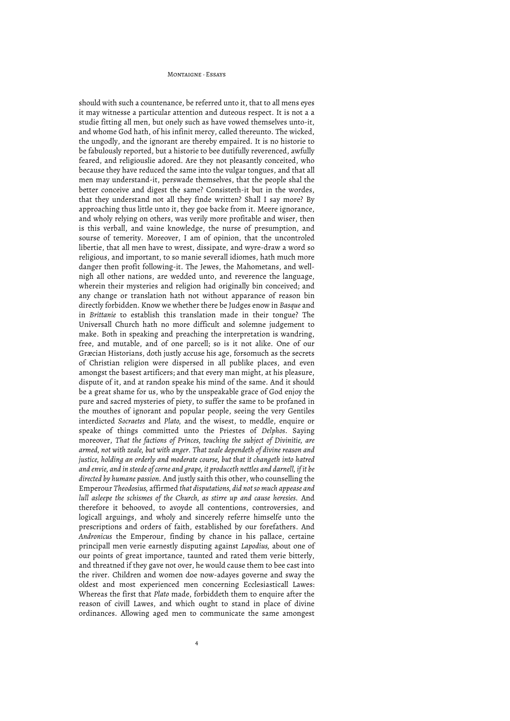should with such a countenance, be referred unto it, that to all mens eyes it may witnesse a particular attention and duteous respect. It is not a a studie fitting all men, but onely such as have vowed themselves unto-it, and whome God hath, of his infinit mercy, called thereunto. The wicked, the ungodly, and the ignorant are thereby empaired. It is no historie to be fabulously reported, but a historie to bee dutifully reverenced, awfully feared, and religiouslie adored. Are they not pleasantly conceited, who because they have reduced the same into the vulgar tongues, and that all men may understand-it, perswade themselves, that the people shal the better conceive and digest the same? Consisteth-it but in the wordes, that they understand not all they finde written? Shall I say more? By approaching thus little unto it, they goe backe from it. Meere ignorance, and wholy relying on others, was verily more profitable and wiser, then is this verball, and vaine knowledge, the nurse of presumption, and sourse of temerity. Moreover, I am of opinion, that the uncontroled libertie, that all men have to wrest, dissipate, and wyre-draw a word so religious, and important, to so manie severall idiomes, hath much more danger then profit following-it. The Jewes, the Mahometans, and wellnigh all other nations, are wedded unto, and reverence the language, wherein their mysteries and religion had originally bin conceived; and any change or translation hath not without apparance of reason bin directly forbidden. Know we whether there be Judges enow in *Basque* and in *Brittanie* to establish this translation made in their tongue? The Universall Church hath no more difficult and solemne judgement to make. Both in speaking and preaching the interpretation is wandring, free, and mutable, and of one parcell; so is it not alike. One of our Græcian Historians, doth justly accuse his age, forsomuch as the secrets of Christian religion were dispersed in all publike places, and even amongst the basest artificers; and that every man might, at his pleasure, dispute of it, and at randon speake his mind of the same. And it should be a great shame for us, who by the unspeakable grace of God enjoy the pure and sacred mysteries of piety, to suffer the same to be profaned in the mouthes of ignorant and popular people, seeing the very Gentiles interdicted *Socraetes* and *Plato,* and the wisest, to meddle, enquire or speake of things committed unto the Priestes of *Delphos.* Saying moreover, *That the factions of Princes, touching the subject of Divinitie, are armed, not with zeale, but with anger. That zeale dependeth of divine reason and justice, holding an orderly and moderate course, but that it changeth into hatred and envie, and in steede of corne and grape, it produceth nettles and darnell, if it be directed by humane passion.* And justly saith this other, who counselling the Emperour *Theodosius,* affirmed *that disputations, did not so much appease and lull asleepe the schismes of the Church, as stirre up and cause heresies.* And therefore it behooved, to avoyde all contentions, controversies, and logicall arguings, and wholy and sincerely referre himselfe unto the prescriptions and orders of faith, established by our forefathers. And *Andronicus* the Emperour, finding by chance in his pallace, certaine principall men verie earnestly disputing against *Lapodius,* about one of our points of great importance, taunted and rated them verie bitterly, and threatned if they gave not over, he would cause them to bee cast into the river. Children and women doe now-adayes governe and sway the oldest and most experienced men concerning Ecclesiasticall Lawes: Whereas the first that *Plato* made, forbiddeth them to enquire after the reason of civill Lawes, and which ought to stand in place of divine ordinances. Allowing aged men to communicate the same amongest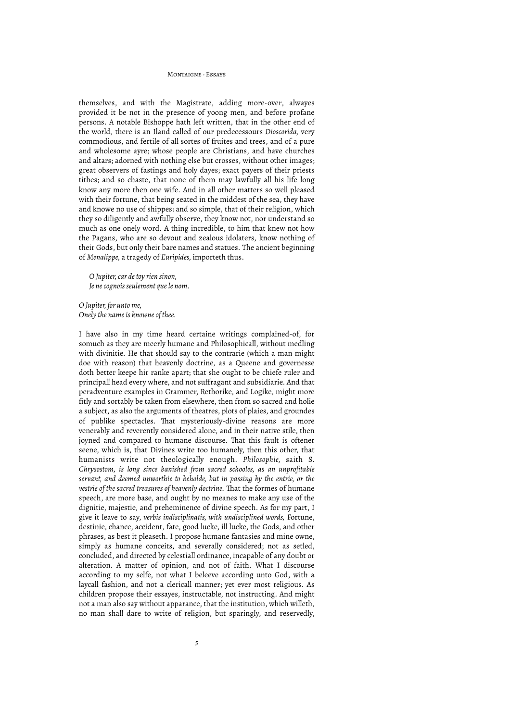themselves, and with the Magistrate, adding more-over, alwayes provided it be not in the presence of yoong men, and before profane persons. A notable Bishoppe hath left written, that in the other end of the world, there is an Iland called of our predecessours *Dioscorida,* very commodious, and fertile of all sortes of fruites and trees, and of a pure and wholesome ayre; whose people are Christians, and have churches and altars; adorned with nothing else but crosses, without other images; great observers of fastings and holy dayes; exact payers of their priests tithes; and so chaste, that none of them may lawfully all his life long know any more then one wife. And in all other matters so well pleased with their fortune, that being seated in the middest of the sea, they have and knowe no use of shippes: and so simple, that of their religion, which they so diligently and awfully observe, they know not, nor understand so much as one onely word. A thing incredible, to him that knew not how the Pagans, who are so devout and zealous idolaters, know nothing of their Gods, but only their bare names and statues. The ancient beginning of *Menalippe,* a tragedy of *Euripides,* importeth thus.

*O Jupiter, car de toy rien sinon, Je ne cognois seulement que le nom.*

*O Jupiter, for unto me, Onely the name is knowne of thee.*

I have also in my time heard certaine writings complained-of, for somuch as they are meerly humane and Philosophicall, without medling with divinitie. He that should say to the contrarie (which a man might doe with reason) that heavenly doctrine, as a Queene and governesse doth better keepe hir ranke apart; that she ought to be chiefe ruler and principall head every where, and not suffragant and subsidiarie. And that peradventure examples in Grammer, Rethorike, and Logike, might more fitly and sortably be taken from elsewhere, then from so sacred and holie a subject, as also the arguments of theatres, plots of plaies, and groundes of publike spectacles. That mysteriously-divine reasons are more venerably and reverently considered alone, and in their native stile, then joyned and compared to humane discourse. That this fault is oftener seene, which is, that Divines write too humanely, then this other, that humanists write not theologically enough. *Philosophie,* saith S. *Chrysostom, is long since banished from sacred schooles, as an unprofitable servant, and deemed unworthie to beholde, but in passing by the entrie, or the*  vestrie of the sacred treasures of heavenly doctrine. That the formes of humane speech, are more base, and ought by no meanes to make any use of the dignitie, majestie, and preheminence of divine speech. As for my part, I give it leave to say, *verbis indisciplinatis, with undisciplined words,* Fortune, destinie, chance, accident, fate, good lucke, ill lucke, the Gods, and other phrases, as best it pleaseth. I propose humane fantasies and mine owne, simply as humane conceits, and severally considered; not as setled, concluded, and directed by celestiall ordinance, incapable of any doubt or alteration. A matter of opinion, and not of faith. What I discourse according to my selfe, not what I beleeve according unto God, with a laycall fashion, and not a clericall manner; yet ever most religious. As children propose their essayes, instructable, not instructing. And might not a man also say without apparance, that the institution, which willeth, no man shall dare to write of religion, but sparingly, and reservedly,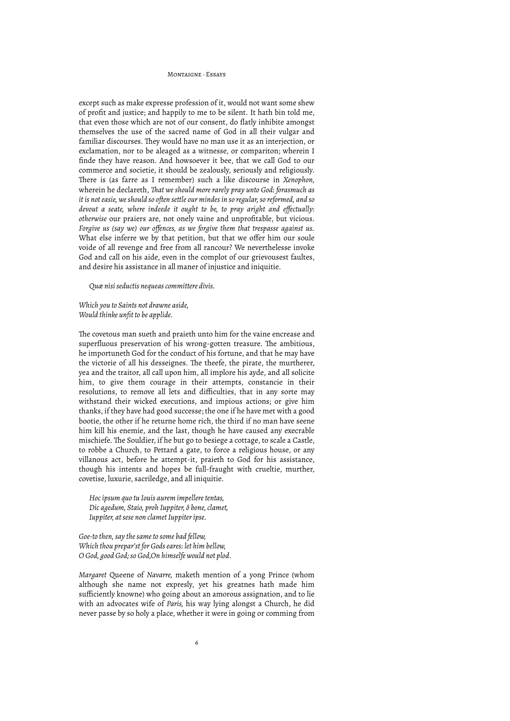except such as make expresse profession of it, would not want some shew of profit and justice; and happily to me to be silent. It hath bin told me, that even those which are not of our consent, do flatly inhibite amongst themselves the use of the sacred name of God in all their vulgar and familiar discourses. They would have no man use it as an interjection, or exclamation, nor to be aleaged as a witnesse, or compariton; wherein I finde they have reason. And howsoever it bee, that we call God to our commerce and societie, it should be zealously, seriously and religiously. There is (as farre as I remember) such a like discourse in *Xenophon*, wherein he declareth, *!at we should more rarely pray unto God: forasmuch as it is not easie, we should so often settle our mindes in so regular, so reformed, and so devout a seate, where indeede it ought to be, to pray aright and effectually: otherwise* our praiers are, not onely vaine and unprofitable, but vicious. *Forgive us (say we) our offences, as we forgive them that trespasse against us.* What else inferre we by that petition, but that we offer him our soule voide of all revenge and free from all rancour? We neverthelesse invoke God and call on his aide, even in the complot of our grievousest faultes, and desire his assistance in all maner of injustice and iniquitie.

*Quæ nisi seductis nequeas committere divis.*

*Which you to Saints not drawne aside, Would thinke unfit to be applide.*

The covetous man sueth and praieth unto him for the vaine encrease and superfluous preservation of his wrong-gotten treasure. The ambitious, he importuneth God for the conduct of his fortune, and that he may have the victorie of all his desseignes. The theefe, the pirate, the murtherer, yea and the traitor, all call upon him, all implore his ayde, and all solicite him, to give them courage in their attempts, constancie in their resolutions, to remove all lets and difficulties, that in any sorte may withstand their wicked executions, and impious actions; or give him thanks, if they have had good successe; the one if he have met with a good bootie, the other if he returne home rich, the third if no man have seene him kill his enemie, and the last, though he have caused any execrable mischiefe. The Souldier, if he but go to besiege a cottage, to scale a Castle, to robbe a Church, to Pettard a gate, to force a religious house, or any villanous act, before he attempt-it, praieth to God for his assistance, though his intents and hopes be full-fraught with crueltie, murther, covetise, luxurie, sacriledge, and all iniquitie.

*Hoc ipsum quo tu Iouis aurem impellere tentas, Dic agedum, Staio, proh Iuppiter, ô bone, clamet, Iuppiter, at sese non clamet Iuppiter ipse.*

*Goe-to then, say the same to some bad fellow, Which thou prepar'st for Gods eares: let him bellow, O God, good God; so God,On himselfe would not plod.*

*Margaret* Queene of *Navarre,* maketh mention of a yong Prince (whom although she name not expresly, yet his greatnes hath made him sufficiently knowne) who going about an amorous assignation, and to lie with an advocates wife of *Paris,* his way lying alongst a Church, he did never passe by so holy a place, whether it were in going or comming from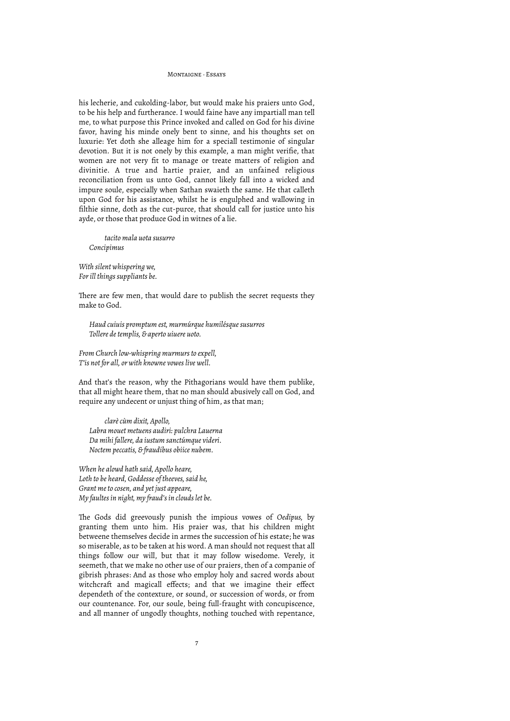his lecherie, and cukolding-labor, but would make his praiers unto God, to be his help and furtherance. I would faine have any impartiall man tell me, to what purpose this Prince invoked and called on God for his divine favor, having his minde onely bent to sinne, and his thoughts set on luxurie: Yet doth she alleage him for a speciall testimonie of singular devotion. But it is not onely by this example, a man might verifie, that women are not very fit to manage or treate matters of religion and divinitie. A true and hartie praier, and an unfained religious reconciliation from us unto God, cannot likely fall into a wicked and impure soule, especially when Sathan swaieth the same. He that calleth upon God for his assistance, whilst he is engulphed and wallowing in filthie sinne, doth as the cut-purce, that should call for justice unto his ayde, or those that produce God in witnes of a lie.

*tacito mala uota susurro Concipimus*

*With silent whispering we, For ill things suppliants be.*

There are few men, that would dare to publish the secret requests they make to God.

*Haud cuiuis promptum est, murmúrque humilésque susurros Tollere de templis, & aperto uiuere uoto.*

*From Church low-whispring murmurs to expell, T'is not for all, or with knowne vowes live well.*

And that's the reason, why the Pithagorians would have them publike, that all might heare them, that no man should abusively call on God, and require any undecent or unjust thing of him, as that man;

*clarè cùm dixit, Apollo, Labra mouet metuens audiri: pulchra Lauerna Da mihi fallere, da iustum sanctúmque videri. Noctem peccatis, & fraudibus obiice nubem.*

*When he alowd hath said, Apollo heare, Loth to be heard, Goddesse of theeves, said he, Grant me to cosen, and yet just appeare, My faultes in night, my fraud's in clouds let be.*

The Gods did greevously punish the impious vowes of *Oedipus*, by granting them unto him. His praier was, that his children might betweene themselves decide in armes the succession of his estate; he was so miserable, as to be taken at his word. A man should not request that all things follow our will, but that it may follow wisedome. Verely, it seemeth, that we make no other use of our praiers, then of a companie of gibrish phrases: And as those who employ holy and sacred words about witchcraft and magicall effects; and that we imagine their effect dependeth of the contexture, or sound, or succession of words, or from our countenance. For, our soule, being full-fraught with concupiscence, and all manner of ungodly thoughts, nothing touched with repentance,